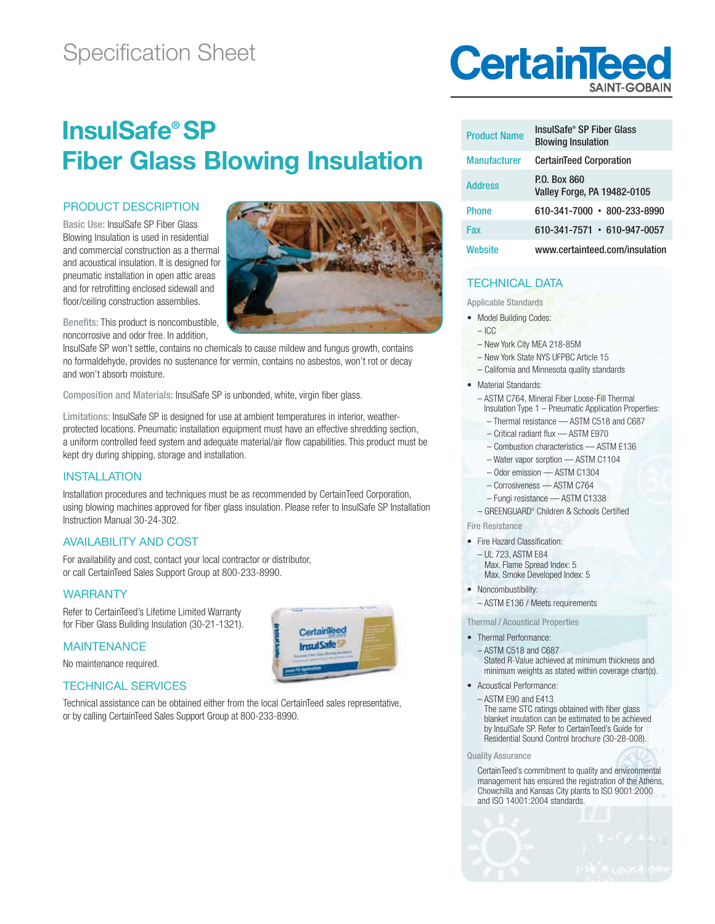## Specification Sheet

# **InsulSafe® SP Fiber Glass Blowing Insulation**

#### PRODUCT DESCRIPTION

Basic Use: InsulSafe SP Fiber Glass Blowing Insulation is used in residential and commercial construction as a thermal and acoustical insulation. It is designed for pneumatic installation in open attic areas and for retrofitting enclosed sidewall and floor/ceiling construction assemblies.

Benefits: This product is noncombustible, noncorrosive and odor free. In addition,

InsulSafe SP won't settle, contains no chemicals to cause mildew and fungus growth, contains no formaldehyde, provides no sustenance for vermin, contains no asbestos, won't rot or decay and won't absorb moisture.

Composition and Materials: InsulSafe SP is unbonded, white, virgin fiber glass.

Limitations: InsulSafe SP is designed for use at ambient temperatures in interior, weatherprotected locations. Pneumatic installation equipment must have an effective shredding section, a uniform controlled feed system and adequate material/air flow capabilities. This product must be kept dry during shipping, storage and installation.

#### INSTALLATION

Installation procedures and techniques must be as recommended by Certain Teed Corporation, using blowing machines approved for fiber glass insulation. Please refer to InsulSafe SP Installation Instruction Manual 30-24-302.

> CertainTeed **InsulSafe**

#### AVAILABILITY AND COST

For availability and cost, contact your local contractor or distributor, or call CertainTeed Sales Support Group at 800-233-8990.

#### WARRANTY

Refer to CertainTeed's Lifetime Limited Warranty for Fiber Glass Building Insulation (30-21-1321).

#### **MAINTENANCE**

No maintenance required.

#### TECHNICAL SERVICES

Technical assistance can be obtained either from the local CertainTeed sales representative, or by calling CertainTeed Sales Support Group at 800-233-8990.



| <b>Product Name</b> | InsulSafe® SP Fiber Glass<br><b>Blowing Insulation</b> |  |  |  |  |
|---------------------|--------------------------------------------------------|--|--|--|--|
| <b>Manufacturer</b> | <b>CertainTeed Corporation</b>                         |  |  |  |  |
| <b>Address</b>      | P.O. Box 860<br>Valley Forge, PA 19482-0105            |  |  |  |  |
| <b>Phone</b>        | $610 - 341 - 7000 \cdot 800 - 233 - 8990$              |  |  |  |  |
| Fax                 | $610 - 341 - 7571 \cdot 610 - 947 - 0057$              |  |  |  |  |
| Website             | www.certainteed.com/insulation                         |  |  |  |  |

#### TECHNICAL DATA

Applicable Standards

- Model Building Codes:
	- $-$  ICC
	- New York City MEA 218-85M
	- New York State NYS UFPBC Article 15
- California and Minnesota quality standards
- Material Standards:
	- ASTM C764, Mineral Fiber Loose-Fill Thermal Insulation Type  $1$  – Pneumatic Application Properties:
		- Thermal resistance ASTM C518 and C687
		- Critical radiant flux ASTM E970
		- Combustion characteristics ASTM E136
		- Water vapor sorption ASTM C1104
		- Odor emission ASTM C1304
		- Corrosiveness ASTM C764
	- Fungi resistance ASTM C1338
- GREENGUARD® Children & Schools Certified
- Fire Resistance
- Fire Hazard Classification:
- UL 723, ASTM E84
	- Max. Flame Spread Index: 5 Max. Smoke Developed Index: 5
- · Noncombustibility:
- ASTM E136 / Meets requirements

Thermal / Acoustical Properties

• Thermal Performance:

 – ASTM C518 and C687 Stated R-Value achieved at minimum thickness and minimum weights as stated within coverage chart(s).

• Acoustical Performance:

 – ASTM E90 and E413 The same STC ratings obtained with fiber glass blanket insulation can be estimated to be achieved by InsulSafe SP. Refer to CertainTeed's Guide for Residential Sound Control brochure (30-28-008).

#### Quality Assurance

 CertainTeed's commitment to quality and environmental management has ensured the registration of the Athens, Chowchilla and Kansas City plants to ISO 9001:2000 and ISO 14001:2004 standards.